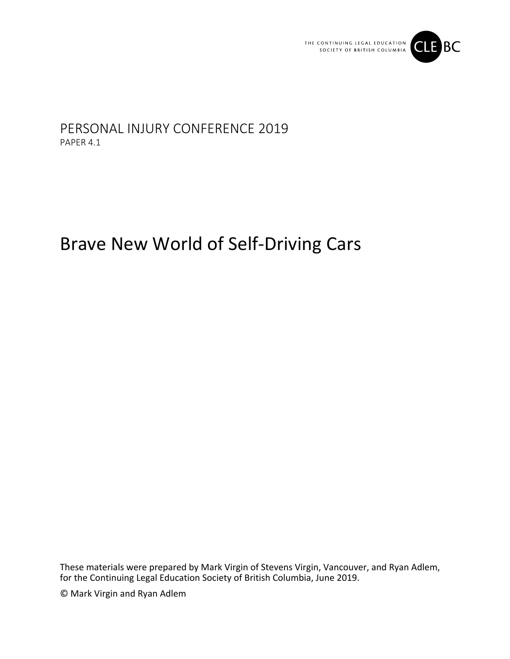

# PERSONAL INJURY CONFERENCE 2019 PAPER 4.1

# Brave New World of Self‐Driving Cars

These materials were prepared by Mark Virgin of Stevens Virgin, Vancouver, and Ryan Adlem, for the Continuing Legal Education Society of British Columbia, June 2019.

© Mark Virgin and Ryan Adlem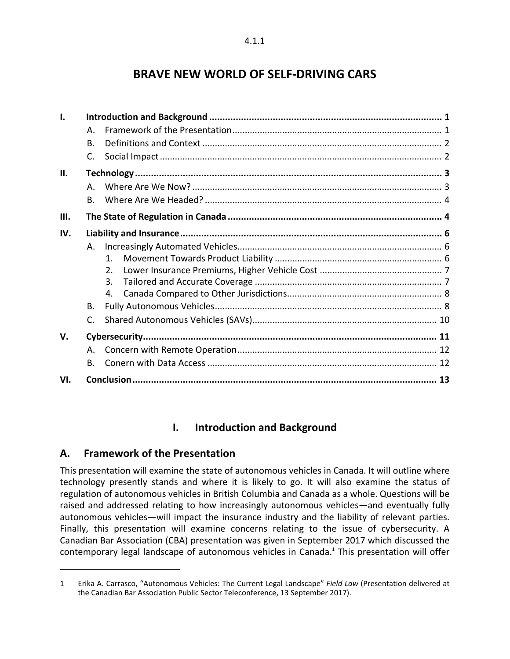## **BRAVE NEW WORLD OF SELF‐DRIVING CARS**

| ı.               |                |                |  |
|------------------|----------------|----------------|--|
|                  | Α.             |                |  |
|                  | B.             |                |  |
|                  | C.             |                |  |
| П.               |                |                |  |
|                  | $\mathsf{A}$ . |                |  |
|                  | $\mathsf{B}$ . |                |  |
| Ш.               |                |                |  |
| IV.<br>V.<br>VI. |                |                |  |
|                  | Α.             |                |  |
|                  |                | $1_{-}$        |  |
|                  |                | 2 <sub>1</sub> |  |
|                  |                | $\mathbf{R}$   |  |
|                  |                | 4.             |  |
|                  | B.             |                |  |
|                  | C.             |                |  |
|                  |                |                |  |
|                  | Α.             |                |  |
|                  | B.             |                |  |
|                  |                |                |  |

#### **I. Introduction and Background**

#### **A. Framework of the Presentation**

This presentation will examine the state of autonomous vehicles in Canada. It will outline where technology presently stands and where it is likely to go. It will also examine the status of regulation of autonomous vehicles in British Columbia and Canada as a whole. Questions will be raised and addressed relating to how increasingly autonomous vehicles—and eventually fully autonomous vehicles—will impact the insurance industry and the liability of relevant parties. Finally, this presentation will examine concerns relating to the issue of cybersecurity. A Canadian Bar Association (CBA) presentation was given in September 2017 which discussed the contemporary legal landscape of autonomous vehicles in Canada.<sup>1</sup> This presentation will offer

<sup>1</sup> Erika A. Carrasco, "Autonomous Vehicles: The Current Legal Landscape" *Field Law* (Presentation delivered at the Canadian Bar Association Public Sector Teleconference, 13 September 2017).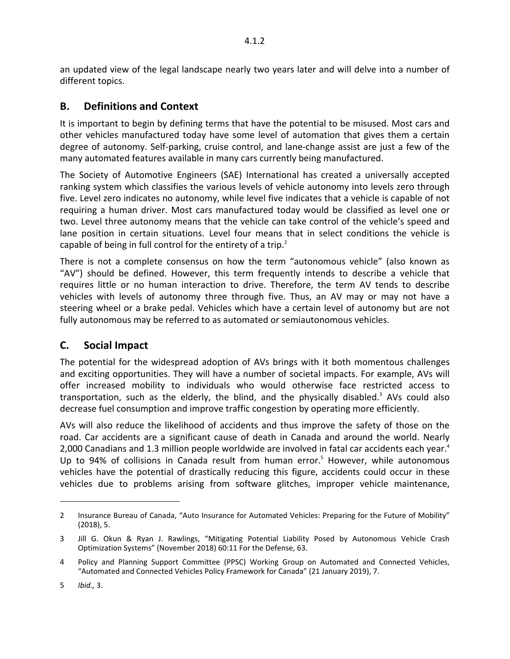an updated view of the legal landscape nearly two years later and will delve into a number of different topics.

### **B. Definitions and Context**

It is important to begin by defining terms that have the potential to be misused. Most cars and other vehicles manufactured today have some level of automation that gives them a certain degree of autonomy. Self‐parking, cruise control, and lane‐change assist are just a few of the many automated features available in many cars currently being manufactured.

The Society of Automotive Engineers (SAE) International has created a universally accepted ranking system which classifies the various levels of vehicle autonomy into levels zero through five. Level zero indicates no autonomy, while level five indicates that a vehicle is capable of not requiring a human driver. Most cars manufactured today would be classified as level one or two. Level three autonomy means that the vehicle can take control of the vehicle's speed and lane position in certain situations. Level four means that in select conditions the vehicle is capable of being in full control for the entirety of a trip.<sup>2</sup>

There is not a complete consensus on how the term "autonomous vehicle" (also known as "AV") should be defined. However, this term frequently intends to describe a vehicle that requires little or no human interaction to drive. Therefore, the term AV tends to describe vehicles with levels of autonomy three through five. Thus, an AV may or may not have a steering wheel or a brake pedal. Vehicles which have a certain level of autonomy but are not fully autonomous may be referred to as automated or semiautonomous vehicles.

#### **C. Social Impact**

The potential for the widespread adoption of AVs brings with it both momentous challenges and exciting opportunities. They will have a number of societal impacts. For example, AVs will offer increased mobility to individuals who would otherwise face restricted access to transportation, such as the elderly, the blind, and the physically disabled.<sup>3</sup> AVs could also decrease fuel consumption and improve traffic congestion by operating more efficiently.

AVs will also reduce the likelihood of accidents and thus improve the safety of those on the road. Car accidents are a significant cause of death in Canada and around the world. Nearly 2,000 Canadians and 1.3 million people worldwide are involved in fatal car accidents each year.<sup>4</sup> Up to 94% of collisions in Canada result from human error.<sup>5</sup> However, while autonomous vehicles have the potential of drastically reducing this figure, accidents could occur in these vehicles due to problems arising from software glitches, improper vehicle maintenance,

<sup>2</sup> Insurance Bureau of Canada, "Auto Insurance for Automated Vehicles: Preparing for the Future of Mobility" (2018), 5.

<sup>3</sup> Jill G. Okun & Ryan J. Rawlings, "Mitigating Potential Liability Posed by Autonomous Vehicle Crash Optimization Systems" (November 2018) 60:11 For the Defense, 63.

<sup>4</sup> Policy and Planning Support Committee (PPSC) Working Group on Automated and Connected Vehicles, "Automated and Connected Vehicles Policy Framework for Canada" (21 January 2019), 7.

<sup>5</sup> *Ibid.,* 3.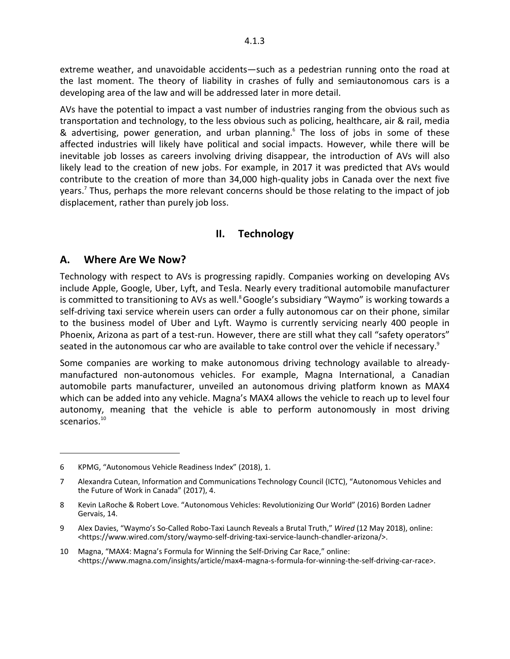extreme weather, and unavoidable accidents—such as a pedestrian running onto the road at the last moment. The theory of liability in crashes of fully and semiautonomous cars is a developing area of the law and will be addressed later in more detail.

AVs have the potential to impact a vast number of industries ranging from the obvious such as transportation and technology, to the less obvious such as policing, healthcare, air & rail, media & advertising, power generation, and urban planning.<sup>6</sup> The loss of jobs in some of these affected industries will likely have political and social impacts. However, while there will be inevitable job losses as careers involving driving disappear, the introduction of AVs will also likely lead to the creation of new jobs. For example, in 2017 it was predicted that AVs would contribute to the creation of more than 34,000 high-quality jobs in Canada over the next five years.7 Thus, perhaps the more relevant concerns should be those relating to the impact of job displacement, rather than purely job loss.

#### **II. Technology**

#### **A. Where Are We Now?**

Technology with respect to AVs is progressing rapidly. Companies working on developing AVs include Apple, Google, Uber, Lyft, and Tesla. Nearly every traditional automobile manufacturer is committed to transitioning to AVs as well.<sup>8</sup> Google's subsidiary "Waymo" is working towards a self-driving taxi service wherein users can order a fully autonomous car on their phone, similar to the business model of Uber and Lyft. Waymo is currently servicing nearly 400 people in Phoenix, Arizona as part of a test‐run. However, there are still what they call "safety operators" seated in the autonomous car who are available to take control over the vehicle if necessary.<sup>9</sup>

Some companies are working to make autonomous driving technology available to already‐ manufactured non‐autonomous vehicles. For example, Magna International, a Canadian automobile parts manufacturer, unveiled an autonomous driving platform known as MAX4 which can be added into any vehicle. Magna's MAX4 allows the vehicle to reach up to level four autonomy, meaning that the vehicle is able to perform autonomously in most driving scenarios.<sup>10</sup>

<sup>6</sup> KPMG, "Autonomous Vehicle Readiness Index" (2018), 1.

<sup>7</sup> Alexandra Cutean, Information and Communications Technology Council (ICTC), "Autonomous Vehicles and the Future of Work in Canada" (2017), 4.

<sup>8</sup> Kevin LaRoche & Robert Love. "Autonomous Vehicles: Revolutionizing Our World" (2016) Borden Ladner Gervais, 14.

<sup>9</sup> Alex Davies, "Waymo's So‐Called Robo‐Taxi Launch Reveals a Brutal Truth," *Wired* (12 May 2018), online: <https://www.wired.com/story/waymo‐self‐driving‐taxi‐service‐launch‐chandler‐arizona/>.

<sup>10</sup> Magna, "MAX4: Magna's Formula for Winning the Self‐Driving Car Race," online: <https://www.magna.com/insights/article/max4‐magna‐s‐formula‐for‐winning‐the‐self‐driving‐car‐race>.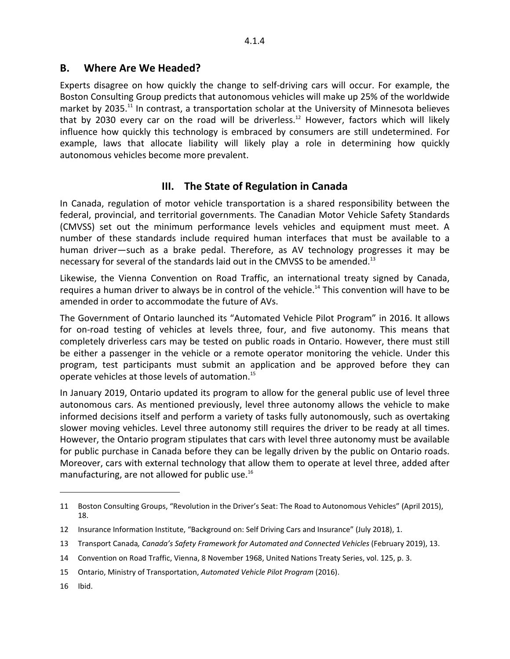#### **B. Where Are We Headed?**

Experts disagree on how quickly the change to self‐driving cars will occur. For example, the Boston Consulting Group predicts that autonomous vehicles will make up 25% of the worldwide market by 2035.<sup>11</sup> In contrast, a transportation scholar at the University of Minnesota believes that by 2030 every car on the road will be driverless.<sup>12</sup> However, factors which will likely influence how quickly this technology is embraced by consumers are still undetermined. For example, laws that allocate liability will likely play a role in determining how quickly autonomous vehicles become more prevalent.

#### **III. The State of Regulation in Canada**

In Canada, regulation of motor vehicle transportation is a shared responsibility between the federal, provincial, and territorial governments. The Canadian Motor Vehicle Safety Standards (CMVSS) set out the minimum performance levels vehicles and equipment must meet. A number of these standards include required human interfaces that must be available to a human driver—such as a brake pedal. Therefore, as AV technology progresses it may be necessary for several of the standards laid out in the CMVSS to be amended.<sup>13</sup>

Likewise, the Vienna Convention on Road Traffic, an international treaty signed by Canada, requires a human driver to always be in control of the vehicle.<sup>14</sup> This convention will have to be amended in order to accommodate the future of AVs.

The Government of Ontario launched its "Automated Vehicle Pilot Program" in 2016. It allows for on-road testing of vehicles at levels three, four, and five autonomy. This means that completely driverless cars may be tested on public roads in Ontario. However, there must still be either a passenger in the vehicle or a remote operator monitoring the vehicle. Under this program, test participants must submit an application and be approved before they can operate vehicles at those levels of automation.15

In January 2019, Ontario updated its program to allow for the general public use of level three autonomous cars. As mentioned previously, level three autonomy allows the vehicle to make informed decisions itself and perform a variety of tasks fully autonomously, such as overtaking slower moving vehicles. Level three autonomy still requires the driver to be ready at all times. However, the Ontario program stipulates that cars with level three autonomy must be available for public purchase in Canada before they can be legally driven by the public on Ontario roads. Moreover, cars with external technology that allow them to operate at level three, added after manufacturing, are not allowed for public use.<sup>16</sup>

<sup>11</sup> Boston Consulting Groups, "Revolution in the Driver's Seat: The Road to Autonomous Vehicles" (April 2015), 18.

<sup>12</sup> Insurance Information Institute, "Background on: Self Driving Cars and Insurance" (July 2018), 1.

<sup>13</sup> Transport Canada*, Canada's Safety Framework for Automated and Connected Vehicles* (February 2019), 13.

<sup>14</sup> Convention on Road Traffic, Vienna, 8 November 1968, United Nations Treaty Series, vol. 125, p. 3.

<sup>15</sup> Ontario, Ministry of Transportation, *Automated Vehicle Pilot Program* (2016).

<sup>16</sup> Ibid.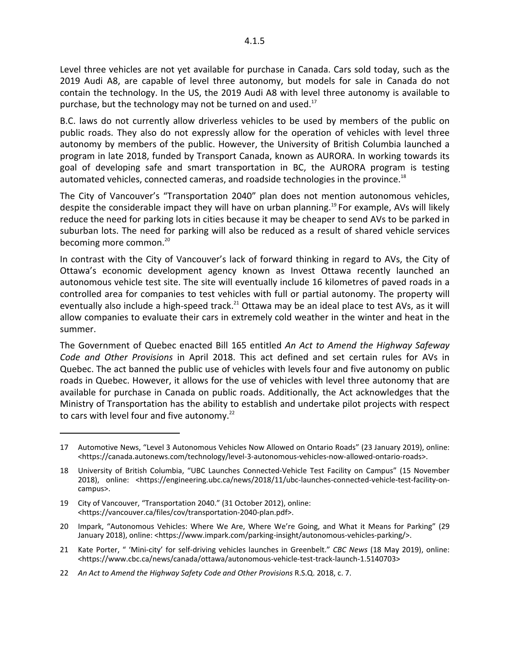Level three vehicles are not yet available for purchase in Canada. Cars sold today, such as the 2019 Audi A8, are capable of level three autonomy, but models for sale in Canada do not contain the technology. In the US, the 2019 Audi A8 with level three autonomy is available to purchase, but the technology may not be turned on and used. $^{17}$ 

B.C. laws do not currently allow driverless vehicles to be used by members of the public on public roads. They also do not expressly allow for the operation of vehicles with level three autonomy by members of the public. However, the University of British Columbia launched a program in late 2018, funded by Transport Canada, known as AURORA. In working towards its goal of developing safe and smart transportation in BC, the AURORA program is testing automated vehicles, connected cameras, and roadside technologies in the province.<sup>18</sup>

The City of Vancouver's "Transportation 2040" plan does not mention autonomous vehicles, despite the considerable impact they will have on urban planning.<sup>19</sup> For example, AVs will likely reduce the need for parking lots in cities because it may be cheaper to send AVs to be parked in suburban lots. The need for parking will also be reduced as a result of shared vehicle services becoming more common.<sup>20</sup>

In contrast with the City of Vancouver's lack of forward thinking in regard to AVs, the City of Ottawa's economic development agency known as Invest Ottawa recently launched an autonomous vehicle test site. The site will eventually include 16 kilometres of paved roads in a controlled area for companies to test vehicles with full or partial autonomy. The property will eventually also include a high-speed track.<sup>21</sup> Ottawa may be an ideal place to test AVs, as it will allow companies to evaluate their cars in extremely cold weather in the winter and heat in the summer.

The Government of Quebec enacted Bill 165 entitled *An Act to Amend the Highway Safeway Code and Other Provisions* in April 2018. This act defined and set certain rules for AVs in Quebec. The act banned the public use of vehicles with levels four and five autonomy on public roads in Quebec. However, it allows for the use of vehicles with level three autonomy that are available for purchase in Canada on public roads. Additionally, the Act acknowledges that the Ministry of Transportation has the ability to establish and undertake pilot projects with respect to cars with level four and five autonomy. $^{22}$ 

<sup>17</sup> Automotive News, "Level 3 Autonomous Vehicles Now Allowed on Ontario Roads" (23 January 2019), online: <https://canada.autonews.com/technology/level‐3‐autonomous‐vehicles‐now‐allowed‐ontario‐roads>.

<sup>18</sup> University of British Columbia, "UBC Launches Connected‐Vehicle Test Facility on Campus" (15 November 2018), online: <https://engineering.ubc.ca/news/2018/11/ubc-launches-connected-vehicle-test-facility-oncampus>.

<sup>19</sup> City of Vancouver, "Transportation 2040." (31 October 2012), online: <https://vancouver.ca/files/cov/transportation‐2040‐plan.pdf>.

<sup>20</sup> Impark, "Autonomous Vehicles: Where We Are, Where We're Going, and What it Means for Parking" (29 January 2018), online: <https://www.impark.com/parking-insight/autonomous-vehicles-parking/>.

<sup>21</sup> Kate Porter, " 'Mini‐city' for self‐driving vehicles launches in Greenbelt." *CBC News* (18 May 2019), online: <https://www.cbc.ca/news/canada/ottawa/autonomous‐vehicle‐test‐track‐launch‐1.5140703>

<sup>22</sup> *An Act to Amend the Highway Safety Code and Other Provisions* R.S.Q. 2018, c. 7.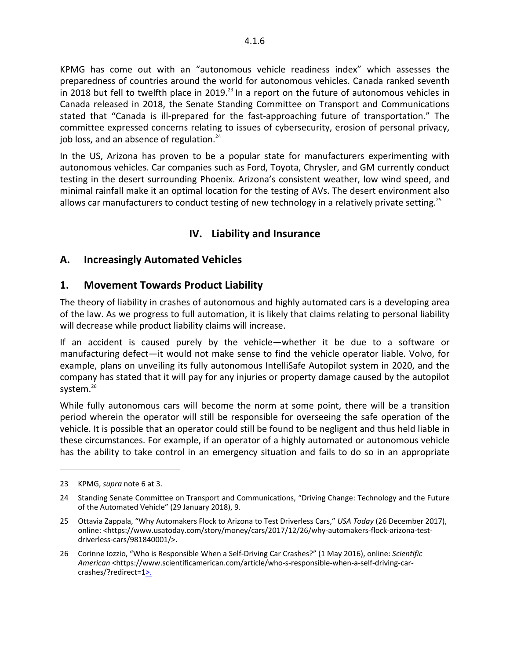KPMG has come out with an "autonomous vehicle readiness index" which assesses the preparedness of countries around the world for autonomous vehicles. Canada ranked seventh in 2018 but fell to twelfth place in 2019.<sup>23</sup> In a report on the future of autonomous vehicles in Canada released in 2018, the Senate Standing Committee on Transport and Communications stated that "Canada is ill‐prepared for the fast‐approaching future of transportation." The committee expressed concerns relating to issues of cybersecurity, erosion of personal privacy, job loss, and an absence of regulation.<sup>24</sup>

In the US, Arizona has proven to be a popular state for manufacturers experimenting with autonomous vehicles. Car companies such as Ford, Toyota, Chrysler, and GM currently conduct testing in the desert surrounding Phoenix. Arizona's consistent weather, low wind speed, and minimal rainfall make it an optimal location for the testing of AVs. The desert environment also allows car manufacturers to conduct testing of new technology in a relatively private setting.<sup>25</sup>

## **IV. Liability and Insurance**

#### **A. Increasingly Automated Vehicles**

#### **1. Movement Towards Product Liability**

The theory of liability in crashes of autonomous and highly automated cars is a developing area of the law. As we progress to full automation, it is likely that claims relating to personal liability will decrease while product liability claims will increase.

If an accident is caused purely by the vehicle—whether it be due to a software or manufacturing defect—it would not make sense to find the vehicle operator liable. Volvo, for example, plans on unveiling its fully autonomous IntelliSafe Autopilot system in 2020, and the company has stated that it will pay for any injuries or property damage caused by the autopilot system.<sup>26</sup>

While fully autonomous cars will become the norm at some point, there will be a transition period wherein the operator will still be responsible for overseeing the safe operation of the vehicle. It is possible that an operator could still be found to be negligent and thus held liable in these circumstances. For example, if an operator of a highly automated or autonomous vehicle has the ability to take control in an emergency situation and fails to do so in an appropriate

<sup>23</sup> KPMG, *supra* note 6 at 3.

<sup>24</sup> Standing Senate Committee on Transport and Communications, "Driving Change: Technology and the Future of the Automated Vehicle" (29 January 2018), 9.

<sup>25</sup> Ottavia Zappala, "Why Automakers Flock to Arizona to Test Driverless Cars," *USA Today* (26 December 2017), online: <https://www.usatoday.com/story/money/cars/2017/12/26/why‐automakers‐flock‐arizona‐test‐ driverless‐cars/981840001/>.

<sup>26</sup> Corinne Iozzio, "Who is Responsible When a Self‐Driving Car Crashes?" (1 May 2016), online: *Scientific American* <https://www.scientificamerican.com/article/who‐s‐responsible‐when‐a‐self‐driving‐car‐ crashes/?redirect=1>.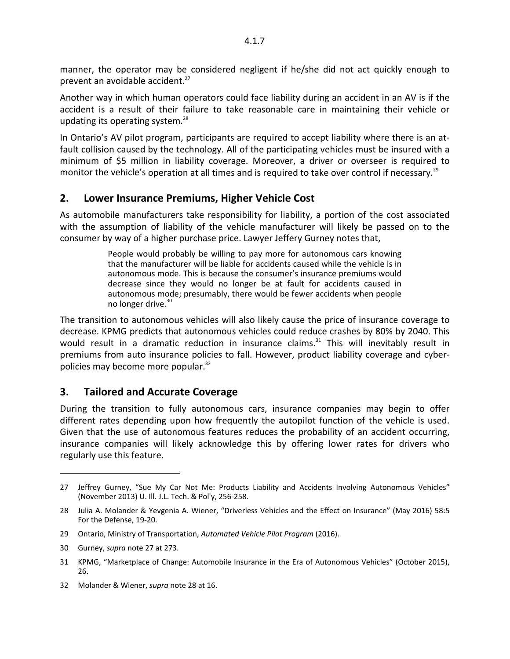4.1.7

manner, the operator may be considered negligent if he/she did not act quickly enough to prevent an avoidable accident.<sup>27</sup>

Another way in which human operators could face liability during an accident in an AV is if the accident is a result of their failure to take reasonable care in maintaining their vehicle or updating its operating system.<sup>28</sup>

In Ontario's AV pilot program, participants are required to accept liability where there is an atfault collision caused by the technology. All of the participating vehicles must be insured with a minimum of \$5 million in liability coverage. Moreover, a driver or overseer is required to monitor the vehicle's operation at all times and is required to take over control if necessary.<sup>29</sup>

#### **2. Lower Insurance Premiums, Higher Vehicle Cost**

As automobile manufacturers take responsibility for liability, a portion of the cost associated with the assumption of liability of the vehicle manufacturer will likely be passed on to the consumer by way of a higher purchase price. Lawyer Jeffery Gurney notes that,

> People would probably be willing to pay more for autonomous cars knowing that the manufacturer will be liable for accidents caused while the vehicle is in autonomous mode. This is because the consumer's insurance premiums would decrease since they would no longer be at fault for accidents caused in autonomous mode; presumably, there would be fewer accidents when people no longer drive.<sup>30</sup>

The transition to autonomous vehicles will also likely cause the price of insurance coverage to decrease. KPMG predicts that autonomous vehicles could reduce crashes by 80% by 2040. This would result in a dramatic reduction in insurance claims.<sup>31</sup> This will inevitably result in premiums from auto insurance policies to fall. However, product liability coverage and cyber‐ policies may become more popular.32

## **3. Tailored and Accurate Coverage**

During the transition to fully autonomous cars, insurance companies may begin to offer different rates depending upon how frequently the autopilot function of the vehicle is used. Given that the use of autonomous features reduces the probability of an accident occurring, insurance companies will likely acknowledge this by offering lower rates for drivers who regularly use this feature.

<sup>27</sup> Jeffrey Gurney, "Sue My Car Not Me: Products Liability and Accidents Involving Autonomous Vehicles" (November 2013) U. Ill. J.L. Tech. & Pol'y, 256‐258.

<sup>28</sup> Julia A. Molander & Yevgenia A. Wiener, "Driverless Vehicles and the Effect on Insurance" (May 2016) 58:5 For the Defense, 19‐20.

<sup>29</sup> Ontario, Ministry of Transportation, *Automated Vehicle Pilot Program* (2016).

<sup>30</sup> Gurney, *supra* note 27 at 273.

<sup>31</sup> KPMG, "Marketplace of Change: Automobile Insurance in the Era of Autonomous Vehicles" (October 2015), 26.

<sup>32</sup> Molander & Wiener, *supra* note 28 at 16.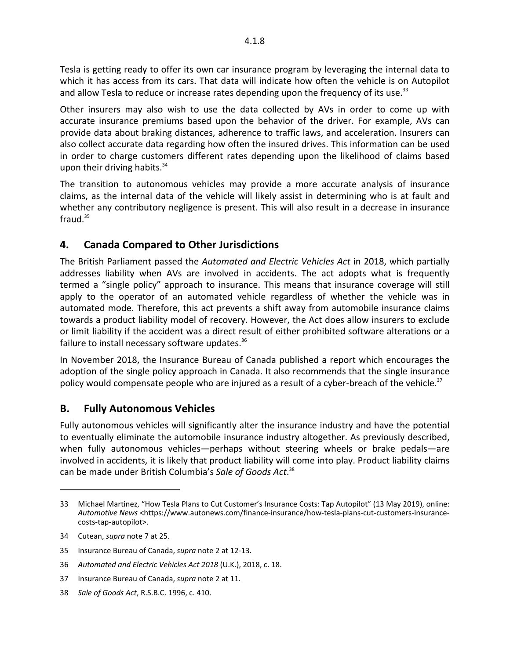Tesla is getting ready to offer its own car insurance program by leveraging the internal data to which it has access from its cars. That data will indicate how often the vehicle is on Autopilot and allow Tesla to reduce or increase rates depending upon the frequency of its use. $33$ 

Other insurers may also wish to use the data collected by AVs in order to come up with accurate insurance premiums based upon the behavior of the driver. For example, AVs can provide data about braking distances, adherence to traffic laws, and acceleration. Insurers can also collect accurate data regarding how often the insured drives. This information can be used in order to charge customers different rates depending upon the likelihood of claims based upon their driving habits. $34$ 

The transition to autonomous vehicles may provide a more accurate analysis of insurance claims, as the internal data of the vehicle will likely assist in determining who is at fault and whether any contributory negligence is present. This will also result in a decrease in insurance fraud. $35$ 

## **4. Canada Compared to Other Jurisdictions**

The British Parliament passed the *Automated and Electric Vehicles Act* in 2018, which partially addresses liability when AVs are involved in accidents. The act adopts what is frequently termed a "single policy" approach to insurance. This means that insurance coverage will still apply to the operator of an automated vehicle regardless of whether the vehicle was in automated mode. Therefore, this act prevents a shift away from automobile insurance claims towards a product liability model of recovery. However, the Act does allow insurers to exclude or limit liability if the accident was a direct result of either prohibited software alterations or a failure to install necessary software updates.<sup>36</sup>

In November 2018, the Insurance Bureau of Canada published a report which encourages the adoption of the single policy approach in Canada. It also recommends that the single insurance policy would compensate people who are injured as a result of a cyber-breach of the vehicle.<sup>37</sup>

## **B. Fully Autonomous Vehicles**

Fully autonomous vehicles will significantly alter the insurance industry and have the potential to eventually eliminate the automobile insurance industry altogether. As previously described, when fully autonomous vehicles—perhaps without steering wheels or brake pedals—are involved in accidents, it is likely that product liability will come into play. Product liability claims can be made under British Columbia's *Sale of Goods Act*. 38

<sup>33</sup> Michael Martinez, "How Tesla Plans to Cut Customer's Insurance Costs: Tap Autopilot" (13 May 2019), online: *Automotive News* <https://www.autonews.com/finance‐insurance/how‐tesla‐plans‐cut‐customers‐insurance‐ costs‐tap‐autopilot>.

<sup>34</sup> Cutean, *supra* note 7 at 25.

<sup>35</sup> Insurance Bureau of Canada, *supra* note 2 at 12‐13.

<sup>36</sup> *Automated and Electric Vehicles Act 2018* (U.K.), 2018, c. 18.

<sup>37</sup> Insurance Bureau of Canada, *supra* note 2 at 11.

<sup>38</sup> *Sale of Goods Act*, R.S.B.C. 1996, c. 410.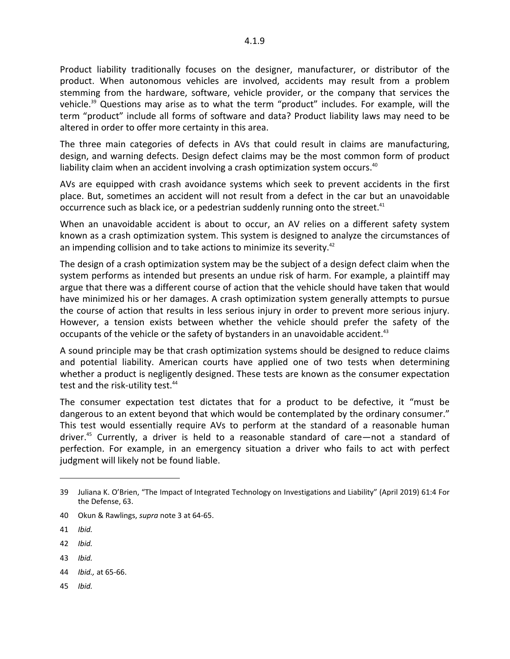Product liability traditionally focuses on the designer, manufacturer, or distributor of the product. When autonomous vehicles are involved, accidents may result from a problem stemming from the hardware, software, vehicle provider, or the company that services the vehicle.<sup>39</sup> Questions may arise as to what the term "product" includes. For example, will the term "product" include all forms of software and data? Product liability laws may need to be altered in order to offer more certainty in this area.

The three main categories of defects in AVs that could result in claims are manufacturing, design, and warning defects. Design defect claims may be the most common form of product liability claim when an accident involving a crash optimization system occurs.<sup>40</sup>

AVs are equipped with crash avoidance systems which seek to prevent accidents in the first place. But, sometimes an accident will not result from a defect in the car but an unavoidable occurrence such as black ice, or a pedestrian suddenly running onto the street.<sup>41</sup>

When an unavoidable accident is about to occur, an AV relies on a different safety system known as a crash optimization system. This system is designed to analyze the circumstances of an impending collision and to take actions to minimize its severity.<sup>42</sup>

The design of a crash optimization system may be the subject of a design defect claim when the system performs as intended but presents an undue risk of harm. For example, a plaintiff may argue that there was a different course of action that the vehicle should have taken that would have minimized his or her damages. A crash optimization system generally attempts to pursue the course of action that results in less serious injury in order to prevent more serious injury. However, a tension exists between whether the vehicle should prefer the safety of the occupants of the vehicle or the safety of bystanders in an unavoidable accident.<sup>43</sup>

A sound principle may be that crash optimization systems should be designed to reduce claims and potential liability. American courts have applied one of two tests when determining whether a product is negligently designed. These tests are known as the consumer expectation test and the risk-utility test.<sup>44</sup>

The consumer expectation test dictates that for a product to be defective, it "must be dangerous to an extent beyond that which would be contemplated by the ordinary consumer." This test would essentially require AVs to perform at the standard of a reasonable human driver.45 Currently, a driver is held to a reasonable standard of care—not a standard of perfection. For example, in an emergency situation a driver who fails to act with perfect judgment will likely not be found liable.

- 43 *Ibid.*
- 44 *Ibid.,* at 65‐66.
- 45 *Ibid.*

<sup>39</sup> Juliana K. O'Brien, "The Impact of Integrated Technology on Investigations and Liability" (April 2019) 61:4 For the Defense, 63.

<sup>40</sup> Okun & Rawlings, *supra* note 3 at 64‐65.

<sup>41</sup> *Ibid.*

<sup>42</sup> *Ibid.*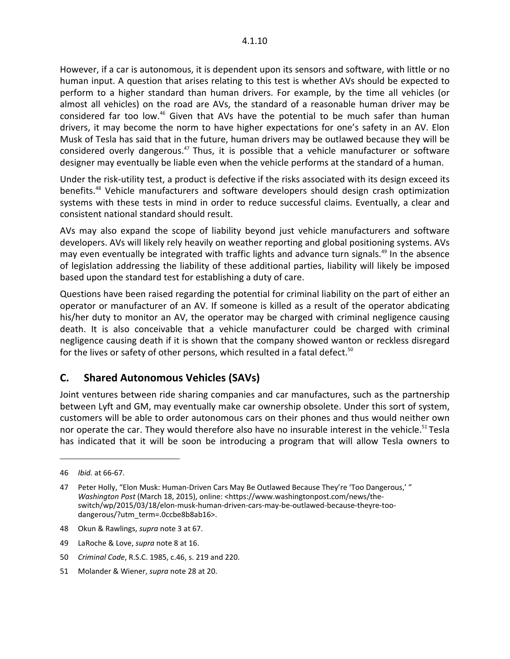However, if a car is autonomous, it is dependent upon its sensors and software, with little or no human input. A question that arises relating to this test is whether AVs should be expected to perform to a higher standard than human drivers. For example, by the time all vehicles (or almost all vehicles) on the road are AVs, the standard of a reasonable human driver may be considered far too low.<sup>46</sup> Given that AVs have the potential to be much safer than human drivers, it may become the norm to have higher expectations for one's safety in an AV. Elon Musk of Tesla has said that in the future, human drivers may be outlawed because they will be considered overly dangerous.<sup>47</sup> Thus, it is possible that a vehicle manufacturer or software designer may eventually be liable even when the vehicle performs at the standard of a human.

Under the risk‐utility test, a product is defective if the risks associated with its design exceed its benefits.48 Vehicle manufacturers and software developers should design crash optimization systems with these tests in mind in order to reduce successful claims. Eventually, a clear and consistent national standard should result.

AVs may also expand the scope of liability beyond just vehicle manufacturers and software developers. AVs will likely rely heavily on weather reporting and global positioning systems. AVs may even eventually be integrated with traffic lights and advance turn signals.<sup>49</sup> In the absence of legislation addressing the liability of these additional parties, liability will likely be imposed based upon the standard test for establishing a duty of care.

Questions have been raised regarding the potential for criminal liability on the part of either an operator or manufacturer of an AV. If someone is killed as a result of the operator abdicating his/her duty to monitor an AV, the operator may be charged with criminal negligence causing death. It is also conceivable that a vehicle manufacturer could be charged with criminal negligence causing death if it is shown that the company showed wanton or reckless disregard for the lives or safety of other persons, which resulted in a fatal defect.<sup>50</sup>

#### **C. Shared Autonomous Vehicles (SAVs)**

Joint ventures between ride sharing companies and car manufactures, such as the partnership between Lyft and GM, may eventually make car ownership obsolete. Under this sort of system, customers will be able to order autonomous cars on their phones and thus would neither own nor operate the car. They would therefore also have no insurable interest in the vehicle.<sup>51</sup> Tesla has indicated that it will be soon be introducing a program that will allow Tesla owners to

48 Okun & Rawlings, *supra* note 3 at 67.

- 49 LaRoche & Love, *supra* note 8 at 16.
- 50 *Criminal Code*, R.S.C. 1985, c.46, s. 219 and 220.
- 51 Molander & Wiener, *supra* note 28 at 20.

<sup>46</sup> *Ibid.* at 66‐67.

<sup>47</sup> Peter Holly, "Elon Musk: Human-Driven Cars May Be Outlawed Because They're 'Too Dangerous,' " *Washington Post* (March 18, 2015), online: <https://www.washingtonpost.com/news/the‐ switch/wp/2015/03/18/elon‐musk‐human‐driven‐cars‐may‐be‐outlawed‐because‐theyre‐too‐ dangerous/?utm\_term=.0ccbe8b8ab16>.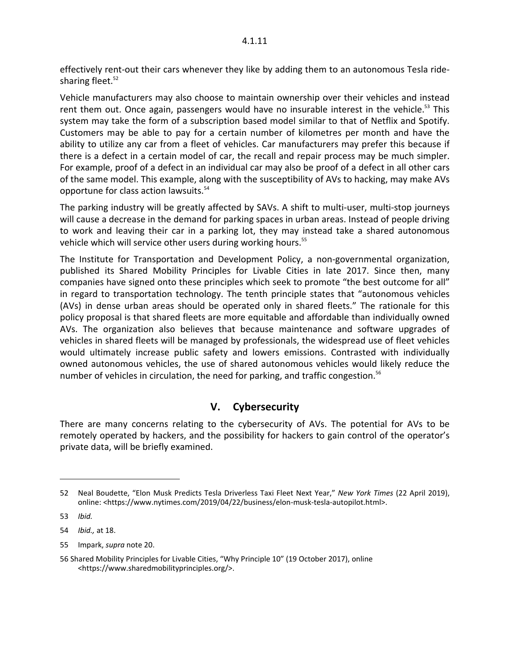effectively rent-out their cars whenever they like by adding them to an autonomous Tesla ridesharing fleet. $52$ 

Vehicle manufacturers may also choose to maintain ownership over their vehicles and instead rent them out. Once again, passengers would have no insurable interest in the vehicle.<sup>53</sup> This system may take the form of a subscription based model similar to that of Netflix and Spotify. Customers may be able to pay for a certain number of kilometres per month and have the ability to utilize any car from a fleet of vehicles. Car manufacturers may prefer this because if there is a defect in a certain model of car, the recall and repair process may be much simpler. For example, proof of a defect in an individual car may also be proof of a defect in all other cars of the same model. This example, along with the susceptibility of AVs to hacking, may make AVs opportune for class action lawsuits.54

The parking industry will be greatly affected by SAVs. A shift to multi‐user, multi‐stop journeys will cause a decrease in the demand for parking spaces in urban areas. Instead of people driving to work and leaving their car in a parking lot, they may instead take a shared autonomous vehicle which will service other users during working hours.<sup>55</sup>

The Institute for Transportation and Development Policy, a non-governmental organization, published its Shared Mobility Principles for Livable Cities in late 2017. Since then, many companies have signed onto these principles which seek to promote "the best outcome for all" in regard to transportation technology. The tenth principle states that "autonomous vehicles (AVs) in dense urban areas should be operated only in shared fleets." The rationale for this policy proposal is that shared fleets are more equitable and affordable than individually owned AVs. The organization also believes that because maintenance and software upgrades of vehicles in shared fleets will be managed by professionals, the widespread use of fleet vehicles would ultimately increase public safety and lowers emissions. Contrasted with individually owned autonomous vehicles, the use of shared autonomous vehicles would likely reduce the number of vehicles in circulation, the need for parking, and traffic congestion.<sup>56</sup>

#### **V. Cybersecurity**

There are many concerns relating to the cybersecurity of AVs. The potential for AVs to be remotely operated by hackers, and the possibility for hackers to gain control of the operator's private data, will be briefly examined.

<sup>52</sup> Neal Boudette, "Elon Musk Predicts Tesla Driverless Taxi Fleet Next Year," *New York Times* (22 April 2019), online: <https://www.nytimes.com/2019/04/22/business/elon‐musk‐tesla‐autopilot.html>.

<sup>53</sup> *Ibid.*

<sup>54</sup> *Ibid.,* at 18.

<sup>55</sup> Impark, *supra* note 20.

<sup>56</sup> Shared Mobility Principles for Livable Cities, "Why Principle 10" (19 October 2017), online <https://www.sharedmobilityprinciples.org/>.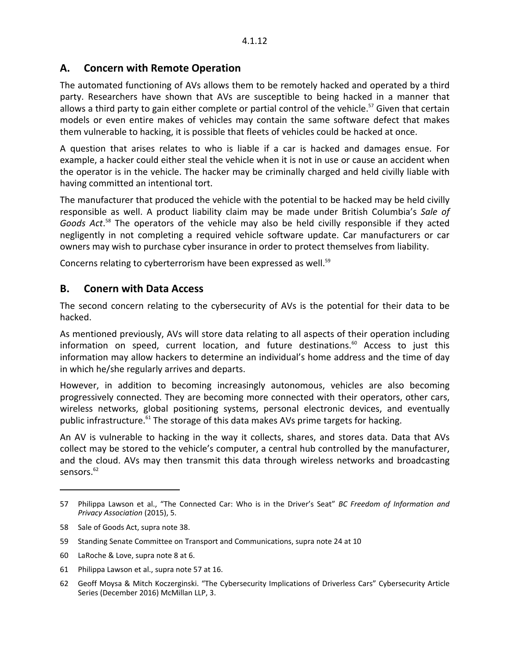#### **A. Concern with Remote Operation**

The automated functioning of AVs allows them to be remotely hacked and operated by a third party. Researchers have shown that AVs are susceptible to being hacked in a manner that allows a third party to gain either complete or partial control of the vehicle.<sup>57</sup> Given that certain models or even entire makes of vehicles may contain the same software defect that makes them vulnerable to hacking, it is possible that fleets of vehicles could be hacked at once.

A question that arises relates to who is liable if a car is hacked and damages ensue. For example, a hacker could either steal the vehicle when it is not in use or cause an accident when the operator is in the vehicle. The hacker may be criminally charged and held civilly liable with having committed an intentional tort.

The manufacturer that produced the vehicle with the potential to be hacked may be held civilly responsible as well. A product liability claim may be made under British Columbia's *Sale of Goods Act*. <sup>58</sup> The operators of the vehicle may also be held civilly responsible if they acted negligently in not completing a required vehicle software update. Car manufacturers or car owners may wish to purchase cyber insurance in order to protect themselves from liability.

Concerns relating to cyberterrorism have been expressed as well.<sup>59</sup>

#### **B. Conern with Data Access**

The second concern relating to the cybersecurity of AVs is the potential for their data to be hacked.

As mentioned previously, AVs will store data relating to all aspects of their operation including information on speed, current location, and future destinations. $60$  Access to just this information may allow hackers to determine an individual's home address and the time of day in which he/she regularly arrives and departs.

However, in addition to becoming increasingly autonomous, vehicles are also becoming progressively connected. They are becoming more connected with their operators, other cars, wireless networks, global positioning systems, personal electronic devices, and eventually public infrastructure.<sup>61</sup> The storage of this data makes AVs prime targets for hacking.

An AV is vulnerable to hacking in the way it collects, shares, and stores data. Data that AVs collect may be stored to the vehicle's computer, a central hub controlled by the manufacturer, and the cloud. AVs may then transmit this data through wireless networks and broadcasting sensors.<sup>62</sup>

<sup>57</sup> Philippa Lawson et al., "The Connected Car: Who is in the Driver's Seat" *BC Freedom of Information and Privacy Association* (2015), 5.

<sup>58</sup> Sale of Goods Act, supra note 38.

<sup>59</sup> Standing Senate Committee on Transport and Communications, supra note 24 at 10

<sup>60</sup> LaRoche & Love, supra note 8 at 6.

<sup>61</sup> Philippa Lawson et al., supra note 57 at 16.

<sup>62</sup> Geoff Moysa & Mitch Koczerginski. "The Cybersecurity Implications of Driverless Cars" Cybersecurity Article Series (December 2016) McMillan LLP, 3.